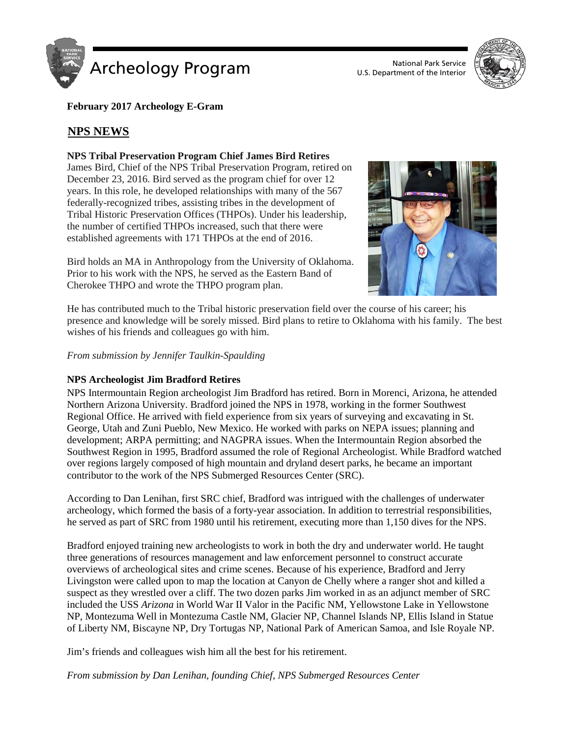



**February 2017 Archeology E-Gram**

# **NPS NEWS**

## **NPS Tribal Preservation Program Chief James Bird Retires**

James Bird, Chief of the NPS Tribal Preservation Program, retired on December 23, 2016. Bird served as the program chief for over 12 years. In this role, he developed relationships with many of the 567 federally-recognized tribes, assisting tribes in the development of Tribal Historic Preservation Offices (THPOs). Under his leadership, the number of certified THPOs increased, such that there were established agreements with 171 THPOs at the end of 2016.

Bird holds an MA in Anthropology from the University of Oklahoma. Prior to his work with the NPS, he served as the Eastern Band of Cherokee THPO and wrote the THPO program plan.



He has contributed much to the Tribal historic preservation field over the course of his career; his presence and knowledge will be sorely missed. Bird plans to retire to Oklahoma with his family. The best wishes of his friends and colleagues go with him.

*From submission by Jennifer Taulkin-Spaulding*

## **NPS Archeologist Jim Bradford Retires**

NPS Intermountain Region archeologist Jim Bradford has retired. Born in Morenci, Arizona, he attended Northern Arizona University. Bradford joined the NPS in 1978, working in the former Southwest Regional Office. He arrived with field experience from six years of surveying and excavating in St. George, Utah and Zuni Pueblo, New Mexico. He worked with parks on NEPA issues; planning and development; ARPA permitting; and NAGPRA issues. When the Intermountain Region absorbed the Southwest Region in 1995, Bradford assumed the role of Regional Archeologist. While Bradford watched over regions largely composed of high mountain and dryland desert parks, he became an important contributor to the work of the NPS Submerged Resources Center (SRC).

According to Dan Lenihan, first SRC chief, Bradford was intrigued with the challenges of underwater archeology, which formed the basis of a forty-year association. In addition to terrestrial responsibilities, he served as part of SRC from 1980 until his retirement, executing more than 1,150 dives for the NPS.

Bradford enjoyed training new archeologists to work in both the dry and underwater world. He taught three generations of resources management and law enforcement personnel to construct accurate overviews of archeological sites and crime scenes. Because of his experience, Bradford and Jerry Livingston were called upon to map the location at Canyon de Chelly where a ranger shot and killed a suspect as they wrestled over a cliff. The two dozen parks Jim worked in as an adjunct member of SRC included the USS *Arizona* in World War II Valor in the Pacific NM, Yellowstone Lake in Yellowstone NP, Montezuma Well in Montezuma Castle NM, Glacier NP, Channel Islands NP, Ellis Island in Statue of Liberty NM, Biscayne NP, Dry Tortugas NP, National Park of American Samoa, and Isle Royale NP.

Jim's friends and colleagues wish him all the best for his retirement.

*From submission by Dan Lenihan, founding Chief, NPS Submerged Resources Center*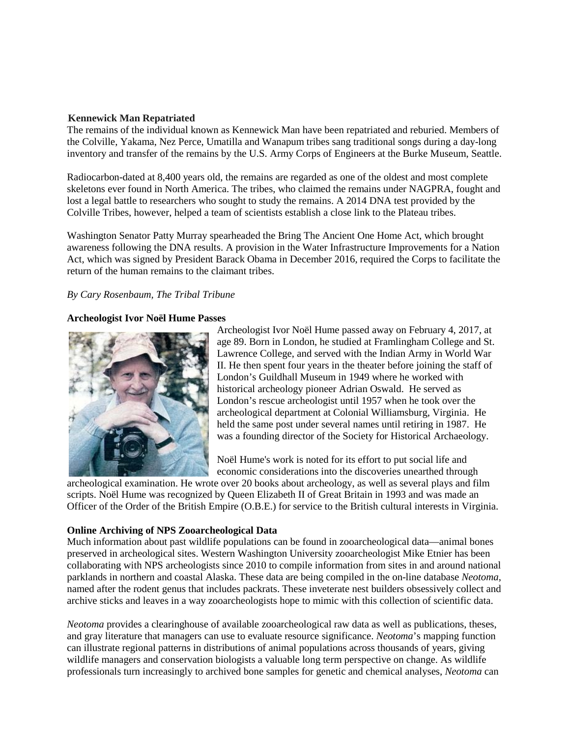### **Kennewick Man Repatriated**

The remains of the individual known as Kennewick Man have been repatriated and reburied. Members of the Colville, Yakama, Nez Perce, Umatilla and Wanapum tribes sang traditional songs during a day-long inventory and transfer of the remains by the U.S. Army Corps of Engineers at the Burke Museum, Seattle.

Radiocarbon-dated at 8,400 years old, the remains are regarded as one of the oldest and most complete skeletons ever found in North America. The tribes, who claimed the remains under NAGPRA, fought and lost a legal battle to researchers who sought to study the remains. A 2014 DNA test provided by the Colville Tribes, however, helped a team of scientists establish a close link to the Plateau tribes.

Washington Senator Patty Murray spearheaded the Bring The Ancient One Home Act, which brought awareness following the DNA results. A provision in the Water Infrastructure Improvements for a Nation Act, which was signed by President Barack Obama in December 2016, required the Corps to facilitate the return of the human remains to the claimant tribes.

## *By Cary Rosenbaum, The Tribal Tribune*

### **Archeologist Ivor Noël Hume Passes**



Archeologist Ivor Noël Hume passed away on February 4, 2017, at age 89. Born in London, he studied at Framlingham College and St. Lawrence College, and served with the Indian Army in World War II. He then spent four years in the theater before joining the staff of London's Guildhall Museum in 1949 where he worked with historical archeology pioneer Adrian Oswald. He served as London's rescue archeologist until 1957 when he took over the archeological department at Colonial Williamsburg, Virginia. He held the same post under several names until retiring in 1987. He was a founding director of the Society for Historical Archaeology.

Noël Hume's work is noted for its effort to put social life and economic considerations into the discoveries unearthed through

archeological examination. He wrote over 20 books about archeology, as well as several plays and film scripts. Noël Hume was recognized by Queen Elizabeth II of Great Britain in 1993 and was made an Officer of the Order of the British Empire (O.B.E.) for service to the British cultural interests in Virginia.

## **Online Archiving of NPS Zooarcheological Data**

Much information about past wildlife populations can be found in zooarcheological data—animal bones preserved in archeological sites. Western Washington University zooarcheologist Mike Etnier has been collaborating with NPS archeologists since 2010 to compile information from sites in and around national parklands in northern and coastal Alaska. These data are being compiled in the on-line database *Neotoma*, named after the rodent genus that includes packrats. These inveterate nest builders obsessively collect and archive sticks and leaves in a way zooarcheologists hope to mimic with this collection of scientific data.

*Neotoma* provides a clearinghouse of available zooarcheological raw data as well as publications, theses, and gray literature that managers can use to evaluate resource significance. *Neotoma*'s mapping function can illustrate regional patterns in distributions of animal populations across thousands of years, giving wildlife managers and conservation biologists a valuable long term perspective on change. As wildlife professionals turn increasingly to archived bone samples for genetic and chemical analyses, *Neotoma* can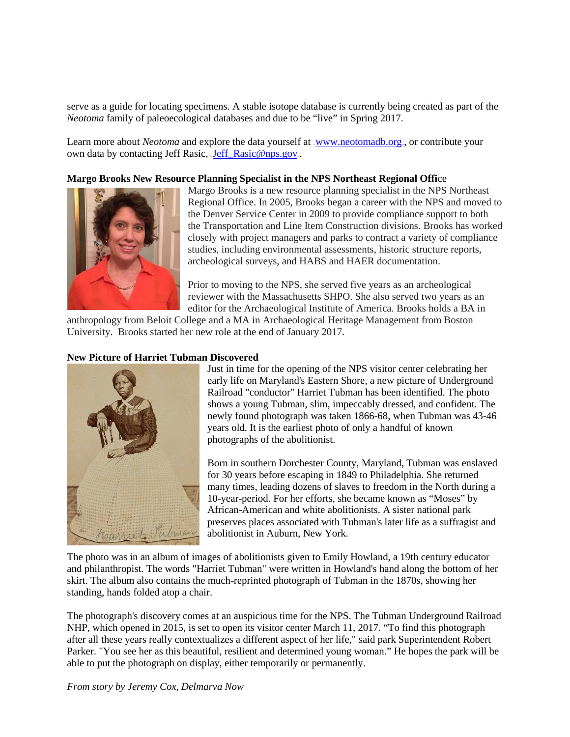serve as a guide for locating specimens. A stable isotope database is currently being created as part of the *Neotoma* family of paleoecological databases and due to be "live" in Spring 2017.

Learn more about *Neotoma* and explore the data yourself at <u>www.neotomadb.org</u>, or contribute your own data by contacting Jeff Rasic, Jeff\_Rasic@nps.gov.

#### **Margo Brooks New Resource Planning Specialist in the NPS Northeast Regional Offi**ce



Margo Brooks is a new resource planning specialist in the NPS Northeast Regional Office. In 2005, Brooks began a career with the NPS and moved to the Denver Service Center in 2009 to provide compliance support to both the Transportation and Line Item Construction divisions. Brooks has worked closely with project managers and parks to contract a variety of compliance studies, including environmental assessments, historic structure reports, archeological surveys, and HABS and HAER documentation.

Prior to moving to the NPS, she served five years as an archeological reviewer with the Massachusetts SHPO. She also served two years as an editor for the Archaeological Institute of America. Brooks holds a BA in

anthropology from Beloit College and a MA in Archaeological Heritage Management from Boston University. Brooks started her new role at the end of January 2017.

#### **New Picture of Harriet Tubman Discovered**



Just in time for the opening of the NPS visitor center celebrating her early life on Maryland's Eastern Shore, a new picture of Underground Railroad "conductor" Harriet Tubman has been identified. The photo shows a young Tubman, slim, impeccably dressed, and confident. The newly found photograph was taken 1866-68, when Tubman was 43-46 years old. It is the earliest photo of only a handful of known photographs of the abolitionist.

Born in southern Dorchester County, Maryland, Tubman was enslaved for 30 years before escaping in 1849 to Philadelphia. She returned many times, leading dozens of slaves to freedom in the North during a 10-year-period. For her efforts, she became known as "Moses" by African-American and white abolitionists. A sister national park preserves places associated with Tubman's later life as a suffragist and abolitionist in Auburn, New York.

The photo was in an album of images of abolitionists given to Emily Howland, a 19th century educator and philanthropist. The words "Harriet Tubman" were written in Howland's hand along the bottom of her skirt. The album also contains the much-reprinted photograph of Tubman in the 1870s, showing her standing, hands folded atop a chair.

The photograph's discovery comes at an auspicious time for the NPS. The Tubman Underground Railroad NHP, which opened in 2015, is set to open its visitor center March 11, 2017. "To find this photograph after all these years really contextualizes a different aspect of her life," said park Superintendent Robert Parker. "You see her as this beautiful, resilient and determined young woman." He hopes the park will be able to put the photograph on display, either temporarily or permanently.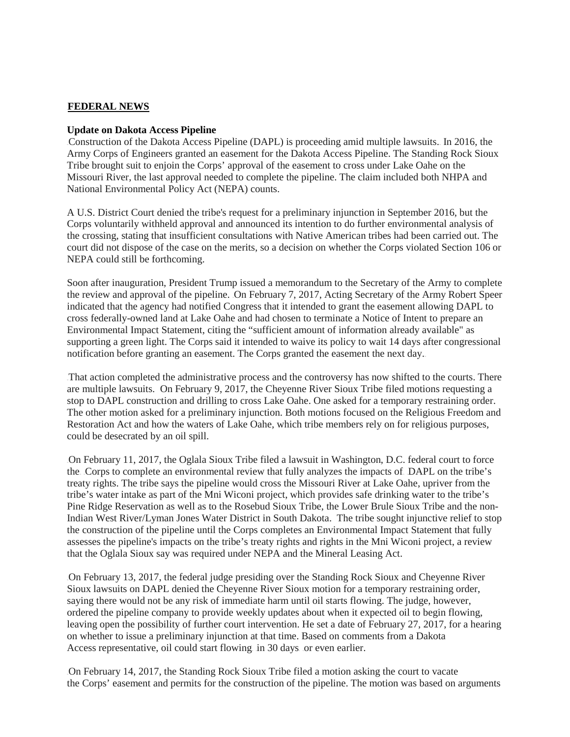## <sup>U</sup>**FEDERAL NEWS**

#### **Update on Dakota Access Pipeline**

Construction of the Dakota Access Pipeline (DAPL) is proceeding amid multiple lawsuits. In 2016, the Army Corps of Engineers granted an easement for the Dakota Access Pipeline. The Standing Rock Sioux Tribe brought suit to enjoin the Corps' approval of the easement to cross under Lake Oahe on the Missouri River, the last approval needed to complete the pipeline. The claim included both NHPA and National Environmental Policy Act (NEPA) counts.

A U.S. District Court denied the tribe's request for a preliminary injunction in September 2016, but the Corps voluntarily withheld approval and announced its intention to do further environmental analysis of the crossing, stating that insufficient consultations with Native American tribes had been carried out. The court did not dispose of the case on the merits, so a decision on whether the Corps violated Section 106 or NEPA could still be forthcoming.

Soon after inauguration, President Trump issued a memorandum to the Secretary of the Army to complete the review and approval of the pipeline. On February 7, 2017, Acting Secretary of the Army Robert Speer indicated that the agency had notified Congress that it intended to grant the easement allowing DAPL to cross federally-owned land at Lake Oahe and had chosen to terminate a Notice of Intent to prepare an Environmental Impact Statement, citing the "sufficient amount of information already available" as supporting a green light. The Corps said it intended to waive its policy to wait 14 days after congressional notification before granting an easement. The Corps granted the easement the next day.

That action completed the administrative process and the controversy has now shifted to the courts. There are multiple lawsuits. On February 9, 2017, the Cheyenne River Sioux Tribe filed motions requesting a stop to DAPL construction and drilling to cross Lake Oahe. One asked for a temporary restraining order. The other motion asked for a preliminary injunction. Both motions focused on the Religious Freedom and Restoration Act and how the waters of Lake Oahe, which tribe members rely on for religious purposes, could be desecrated by an oil spill.

73TOn February 11, 2017, the Oglala Sioux Tribe filed a lawsuit in Washington, D.C. federal court to force the. Corps to complete an environmental review that fully analyzes the impacts of. DAPL on the tribe's treaty rights. The tribe says the pipeline would cross the Missouri River at Lake Oahe, upriver from the tribe's water intake as part of the Mni Wiconi project, which provides safe drinking water to the tribe's Pine Ridge Reservation as well as to the Rosebud Sioux Tribe, the Lower Brule Sioux Tribe and the non-Indian West River/Lyman Jones Water District in South Dakota. The tribe sought injunctive relief to stop the construction of the pipeline until the Corps completes an Environmental Impact Statement that fully assesses the pipeline's impacts on the tribe's treaty rights and rights in the Mni Wiconi project, a review that the Oglala Sioux say was required under NEPA and the Mineral Leasing Act.

73TOn February 13, 2017, the federal judge presiding over the Standing Rock Sioux and Cheyenne River Sioux lawsuits on DAPL denied the Cheyenne River Sioux motion for a temporary restraining order, saying there would not be any risk of immediate harm until oil starts flowing. The judge, however, ordered the pipeline company to provide weekly updates about when it expected oil to begin flowing, leaving open the possibility of further court intervention. He set a date of February 27, 2017, for a hearing on whether to issue a preliminary injunction at that time. Based on comments from a Dakota Access representative, oil could start flowing in 30 days or even earlier.

73TOn February 14, 2017, the Standing Rock Sioux Tribe filed a motion asking the court to vacate the Corps' easement and permits for the construction of the pipeline. The motion was based on arguments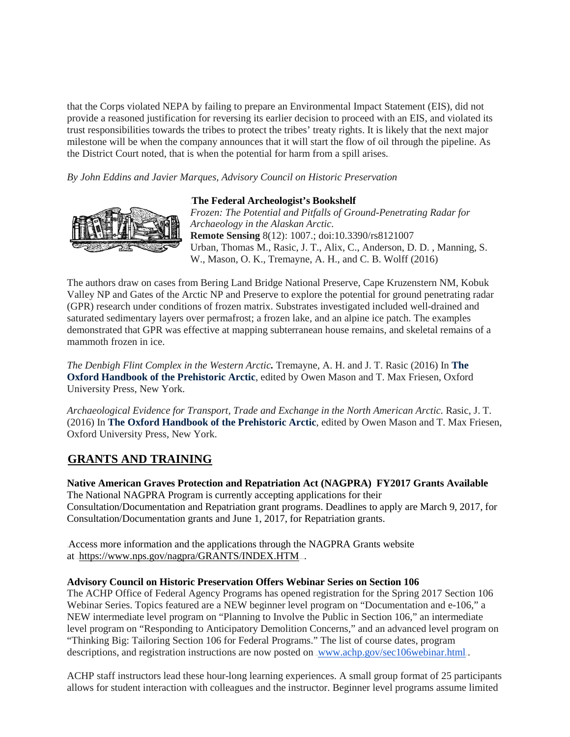that the Corps violated NEPA by failing to prepare an Environmental Impact Statement (EIS), did not provide a reasoned justification for reversing its earlier decision to proceed with an EIS, and violated its trust responsibilities towards the tribes to protect the tribes' treaty rights. It is likely that the next major milestone will be when the company announces that it will start the flow of oil through the pipeline. As the District Court noted, that is when the potential for harm from a spill arises.

*By John Eddins and Javier Marques, Advisory Council on Historic Preservation*



37T**The Federal Archeologist's Bookshelf** *Frozen: The Potential and Pitfalls of Ground-Penetrating Radar for Archaeology in the Alaskan Arctic.*  **Remote Sensing** 8(12): 1007.; doi:10.3390/rs8121007 Urban, Thomas M., Rasic, J. T., Alix, C., Anderson, D. D. , Manning, S. W., Mason, O. K., Tremayne, A. H., and C. B. Wolff (2016)

The authors draw on cases from Bering Land Bridge National Preserve, Cape Kruzenstern NM, Kobuk Valley NP and Gates of the Arctic NP and Preserve to explore the potential for ground penetrating radar (GPR) research under conditions of frozen matrix. Substrates investigated included well-drained and saturated sedimentary layers over permafrost; a frozen lake, and an alpine ice patch. The examples demonstrated that GPR was effective at mapping subterranean house remains, and skeletal remains of a mammoth frozen in ice.

*The Denbigh Flint Complex in the Western Arctic.* Tremayne, A. H. and J. T. Rasic (2016) In **The Oxford Handbook of the Prehistoric Arctic**, edited by Owen Mason and T. Max Friesen, Oxford University Press, New York.

*Archaeological Evidence for Transport, Trade and Exchange in the North American Arctic.* Rasic, J. T. (2016) In **The Oxford Handbook of the Prehistoric Arctic**, edited by Owen Mason and T. Max Friesen, Oxford University Press, New York.

# **GRANTS AND TRAINING**

**Native American Graves Protection and Repatriation Act (NAGPRA) FY2017 Grants Available**  The National NAGPRA Program is currently accepting applications for their Consultation/Documentation and Repatriation grant programs. Deadlines to apply are March 9, 2017, for Consultation/Documentation grants and June 1, 2017, for Repatriation grants.

Access more information and the applications through the NAGPRA Grants website at .https://www.nps.gov/nagpra/GRANTS/INDEX.HTM...

## **Advisory Council on Historic Preservation Offers Webinar Series on Section 106**

The ACHP Office of Federal Agency Programs has opened registration for the Spring 2017 Section 106 Webinar Series. Topics featured are a NEW beginner level program on "Documentation and e-106," a NEW intermediate level program on "Planning to Involve the Public in Section 106," an intermediate level program on "Responding to Anticipatory Demolition Concerns," and an advanced level program on "Thinking Big: Tailoring Section 106 for Federal Programs." The list of course dates, program descriptions, and registration instructions are now posted on <u>www.achp.gov/sec106webinar.html</u>.

ACHP staff instructors lead these hour-long learning experiences. A small group format of 25 participants allows for student interaction with colleagues and the instructor. Beginner level programs assume limited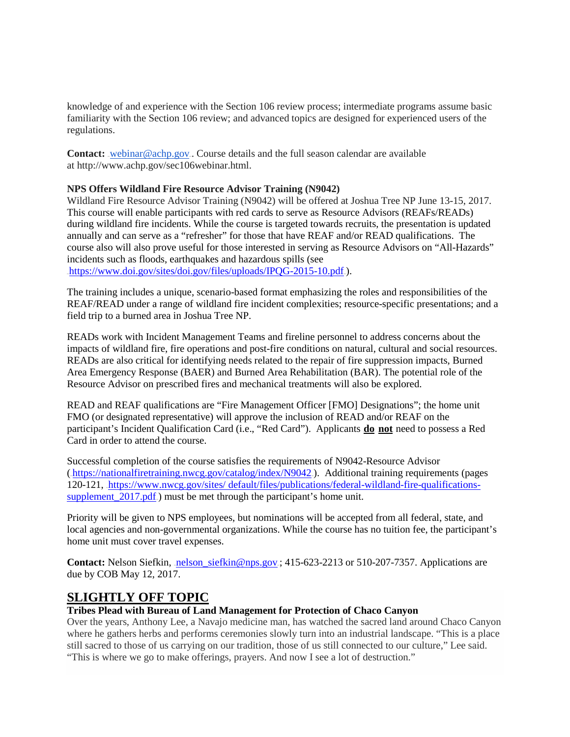knowledge of and experience with the Section 106 review process; intermediate programs assume basic familiarity with the Section 106 review; and advanced topics are designed for experienced users of the regulations.

**Contact:** <u>webinar@achp.gov</u>. Course details and the full season calendar are available at http://www.achp.gov/sec106webinar.html.

## **NPS Offers Wildland Fire Resource Advisor Training (N9042)**

Wildland Fire Resource Advisor Training (N9042) will be offered at Joshua Tree NP June 13-15, 2017. This course will enable participants with red cards to serve as Resource Advisors (REAFs/READs) during wildland fire incidents. While the course is targeted towards recruits, the presentation is updated annually and can serve as a "refresher" for those that have REAF and/or READ qualifications. The course also will also prove useful for those interested in serving as Resource Advisors on "All-Hazards" incidents such as floods, earthquakes and hazardous spills (see

https://www.doi.gov/sites/doi.gov/files/uploads/IPQG-2015-10.pdf.).

The training includes a unique, scenario-based format emphasizing the roles and responsibilities of the REAF/READ under a range of wildland fire incident complexities; resource-specific presentations; and a field trip to a burned area in Joshua Tree NP.

READs work with Incident Management Teams and fireline personnel to address concerns about the impacts of wildland fire, fire operations and post-fire conditions on natural, cultural and social resources. READs are also critical for identifying needs related to the repair of fire suppression impacts, Burned Area Emergency Response (BAER) and Burned Area Rehabilitation (BAR). The potential role of the Resource Advisor on prescribed fires and mechanical treatments will also be explored.

READ and REAF qualifications are "Fire Management Officer [FMO] Designations"; the home unit FMO (or designated representative) will approve the inclusion of READ and/or REAF on the participant's Incident Qualification Card (i.e., "Red Card"). Applicants **do** not need to possess a Red Card in order to attend the course.

Successful completion of the course satisfies the requirements of N9042-Resource Advisor  $(\text{https://nationalfiretraining.nwcg.gov/catalog/index/N9042})$ . Additional training requirements (pages). 120-121, https://www.nwcg.gov/sites/ default/files/publications/federal-wildland-fire-qualificationssupplement  $2017$ .pdf.) must be met through the participant's home unit.

Priority will be given to NPS employees, but nominations will be accepted from all federal, state, and local agencies and non-governmental organizations. While the course has no tuition fee, the participant's home unit must cover travel expenses.

**Contact:** Nelson Siefkin, nelson\_siefkin@nps.gov: 415-623-2213 or 510-207-7357. Applications are due by COB May 12, 2017.

# **SLIGHTLY OFF TOPIC**

## **Tribes Plead with Bureau of Land Management for Protection of Chaco Canyon**

Over the years, Anthony Lee, a Navajo medicine man, has watched the sacred land around Chaco Canyon where he gathers herbs and performs ceremonies slowly turn into an industrial landscape. "This is a place still sacred to those of us carrying on our tradition, those of us still connected to our culture," Lee said. "This is where we go to make offerings, prayers. And now I see a lot of destruction."